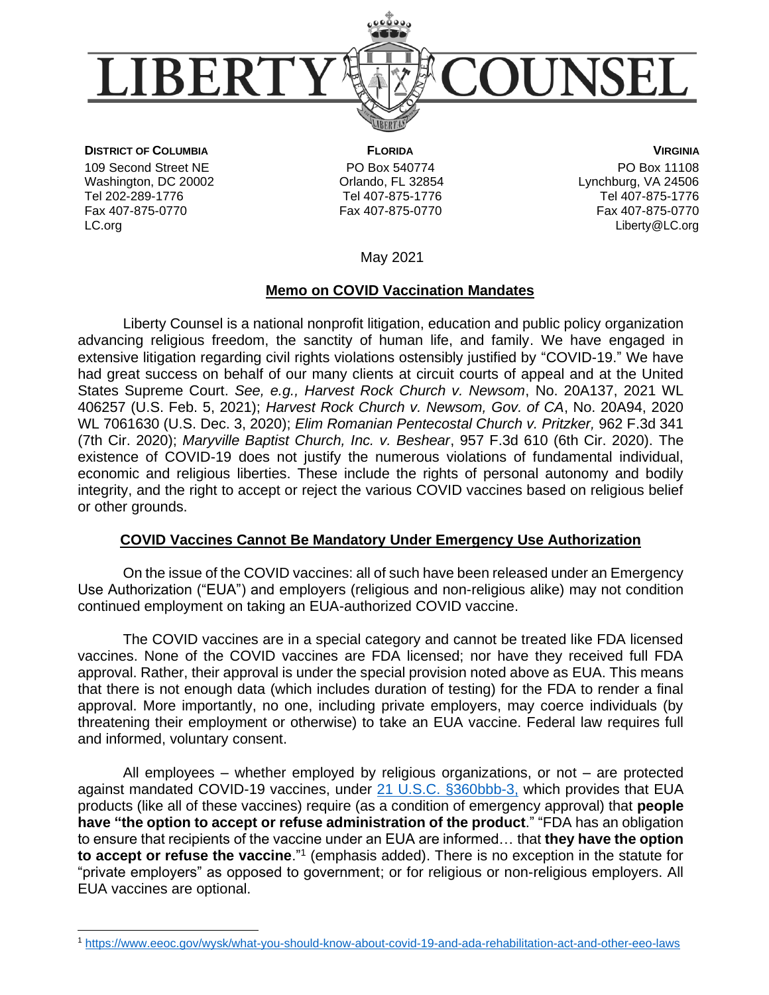

**DISTRICT OF COLUMBIA**

109 Second Street NE Washington, DC 20002 Tel 202-289-1776 Fax 407-875-0770 LC.org

 **FLORIDA** PO Box 540774 Orlando, FL 32854 Tel 407-875-1776 Fax 407-875-0770

**VIRGINIA** PO Box 11108 Lynchburg, VA 24506 Tel 407-875-1776 Fax 407-875-0770 [Liberty@LC.org](mailto:Liberty@LC.org)

May 2021

### **Memo on COVID Vaccination Mandates**

Liberty Counsel is a national nonprofit litigation, education and public policy organization advancing religious freedom, the sanctity of human life, and family. We have engaged in extensive litigation regarding civil rights violations ostensibly justified by "COVID-19." We have had great success on behalf of our many clients at circuit courts of appeal and at the United States Supreme Court. *See, e.g., Harvest Rock Church v. Newsom*, No. 20A137, 2021 WL 406257 (U.S. Feb. 5, 2021); *Harvest Rock Church v. Newsom, Gov. of CA*, No. 20A94, 2020 WL 7061630 (U.S. Dec. 3, 2020); *Elim Romanian Pentecostal Church v. Pritzker,* 962 F.3d 341 (7th Cir. 2020); *Maryville Baptist Church, Inc. v. Beshear*, 957 F.3d 610 (6th Cir. 2020). The existence of COVID-19 does not justify the numerous violations of fundamental individual, economic and religious liberties. These include the rights of personal autonomy and bodily integrity, and the right to accept or reject the various COVID vaccines based on religious belief or other grounds.

# **COVID Vaccines Cannot Be Mandatory Under Emergency Use Authorization**

On the issue of the COVID vaccines: all of such have been released under an Emergency Use Authorization ("EUA") and employers (religious and non-religious alike) may not condition continued employment on taking an EUA-authorized COVID vaccine.

The COVID vaccines are in a special category and cannot be treated like FDA licensed vaccines. None of the COVID vaccines are FDA licensed; nor have they received full FDA approval. Rather, their approval is under the special provision noted above as EUA. This means that there is not enough data (which includes duration of testing) for the FDA to render a final approval. More importantly, no one, including private employers, may coerce individuals (by threatening their employment or otherwise) to take an EUA vaccine. Federal law requires full and informed, voluntary consent.

All employees – whether employed by religious organizations, or not – are protected against mandated COVID-19 vaccines, under [21 U.S.C. §360bbb-3,](https://www.govinfo.gov/content/pkg/USCODE-2011-title21/pdf/USCODE-2011-title21-chap9-subchapV-partE-sec360bbb-3.pdf) which provides that EUA products (like all of these vaccines) require (as a condition of emergency approval) that **people have "the option to accept or refuse administration of the product**." "FDA has an obligation to ensure that recipients of the vaccine under an EUA are informed… that **they have the option to accept or refuse the vaccine**."<sup>1</sup> (emphasis added). There is no exception in the statute for "private employers" as opposed to government; or for religious or non-religious employers. All EUA vaccines are optional.

<sup>1</sup> <https://www.eeoc.gov/wysk/what-you-should-know-about-covid-19-and-ada-rehabilitation-act-and-other-eeo-laws>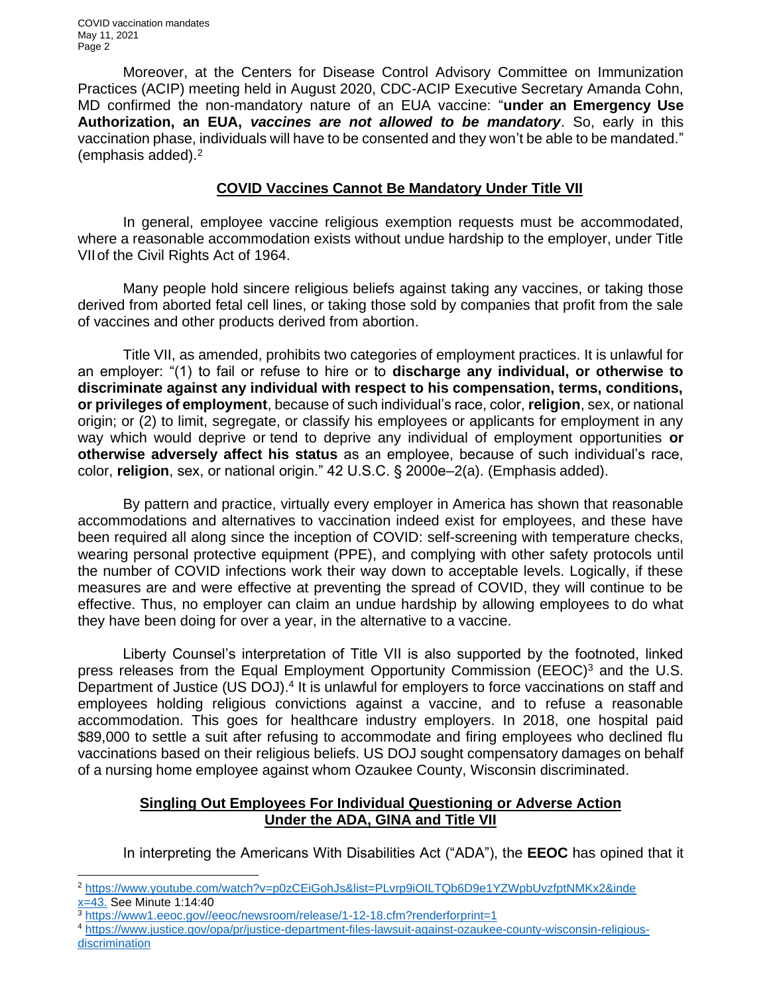COVID vaccination mandates May 11, 2021 Page 2

Moreover, at the Centers for Disease Control Advisory Committee on Immunization Practices (ACIP) meeting held in August 2020, CDC-ACIP Executive Secretary Amanda Cohn, MD confirmed the non-mandatory nature of an EUA vaccine: "**under an Emergency Use Authorization, an EUA,** *vaccines are not allowed to be mandatory*. So, early in this vaccination phase, individuals will have to be consented and they won't be able to be mandated." (emphasis added).<sup>2</sup>

## **COVID Vaccines Cannot Be Mandatory Under Title VII**

In general, employee vaccine religious exemption requests must be accommodated, where a reasonable accommodation exists without undue hardship to the employer, under Title VIIof the Civil Rights Act of 1964.

Many people hold sincere religious beliefs against taking any vaccines, or taking those derived from aborted fetal cell lines, or taking those sold by companies that profit from the sale of vaccines and other products derived from abortion.

Title VII, as amended, prohibits two categories of employment practices. It is unlawful for an employer: "(1) to fail or refuse to hire or to **discharge any individual, or otherwise to discriminate against any individual with respect to his compensation, terms, conditions, or privileges of employment**, because of such individual's race, color, **religion**, sex, or national origin; or (2) to limit, segregate, or classify his employees or applicants for employment in any way which would deprive or tend to deprive any individual of employment opportunities **or otherwise adversely affect his status** as an employee, because of such individual's race, color, **religion**, sex, or national origin." 42 U.S.C. § 2000e–2(a). (Emphasis added).

By pattern and practice, virtually every employer in America has shown that reasonable accommodations and alternatives to vaccination indeed exist for employees, and these have been required all along since the inception of COVID: self-screening with temperature checks, wearing personal protective equipment (PPE), and complying with other safety protocols until the number of COVID infections work their way down to acceptable levels. Logically, if these measures are and were effective at preventing the spread of COVID, they will continue to be effective. Thus, no employer can claim an undue hardship by allowing employees to do what they have been doing for over a year, in the alternative to a vaccine.

Liberty Counsel's interpretation of Title VII is also supported by the footnoted, linked press releases from the Equal Employment Opportunity Commission (EEOC)<sup>3</sup> and the U.S. Department of Justice (US DOJ).<sup>4</sup> It is unlawful for employers to force vaccinations on staff and employees holding religious convictions against a vaccine, and to refuse a reasonable accommodation. This goes for healthcare industry employers. In 2018, one hospital paid \$89,000 to settle a suit after refusing to accommodate and firing employees who declined flu vaccinations based on their religious beliefs. US DOJ sought compensatory damages on behalf of a nursing home employee against whom Ozaukee County, Wisconsin discriminated.

# **Singling Out Employees For Individual Questioning or Adverse Action Under the ADA, GINA and Title VII**

In interpreting the Americans With Disabilities Act ("ADA"), the **EEOC** has opined that it

<sup>2</sup> [https://www.youtube.com/watch?v=p0zCEiGohJs&list=PLvrp9iOILTQb6D9e1YZWpbUvzfptNMKx2&inde](https://www.youtube.com/watch?v=p0zCEiGohJs&list=PLvrp9iOILTQb6D9e1YZWpbUvzfptNMKx2&index=43) [x=43.](https://www.youtube.com/watch?v=p0zCEiGohJs&list=PLvrp9iOILTQb6D9e1YZWpbUvzfptNMKx2&index=43) See Minute 1:14:40

<sup>3</sup> [https://www1.eeoc.gov//eeoc/newsroom/release/1-12-18.cfm?renderforprint=1](https://www1.eeoc.gov/eeoc/newsroom/release/1-12-18.cfm?renderforprint=1)

<sup>4</sup> [https://www.justice.gov/opa/pr/justice-department-files-lawsuit-against-ozaukee-county-wisconsin-religious](https://www.justice.gov/opa/pr/justice-department-files-lawsuit-against-ozaukee-county-wisconsin-religious-discrimination)[discrimination](https://www.justice.gov/opa/pr/justice-department-files-lawsuit-against-ozaukee-county-wisconsin-religious-discrimination)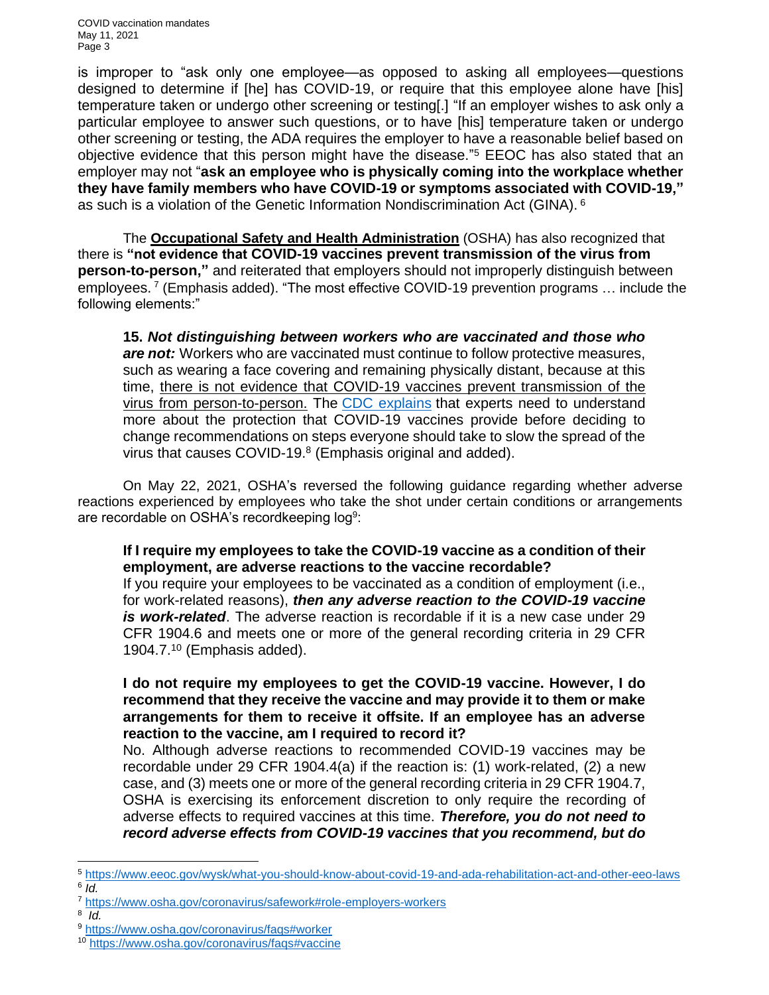COVID vaccination mandates May 11, 2021 Page 3

is improper to "ask only one employee—as opposed to asking all employees—questions designed to determine if [he] has COVID-19, or require that this employee alone have [his] temperature taken or undergo other screening or testing[.] "If an employer wishes to ask only a particular employee to answer such questions, or to have [his] temperature taken or undergo other screening or testing, the ADA requires the employer to have a reasonable belief based on objective evidence that this person might have the disease." <sup>5</sup> EEOC has also stated that an employer may not "**ask an employee who is physically coming into the workplace whether they have family members who have COVID-19 or symptoms associated with COVID-19,"**  as such is a violation of the Genetic Information Nondiscrimination Act (GINA). <sup>6</sup>

The **Occupational Safety and Health Administration** (OSHA) has also recognized that there is **"not evidence that COVID-19 vaccines prevent transmission of the virus from person-to-person,"** and reiterated that employers should not improperly distinguish between employees.<sup>7</sup> (Emphasis added). "The most effective COVID-19 prevention programs ... include the following elements:"

**15.** *Not distinguishing between workers who are vaccinated and those who are not:* Workers who are vaccinated must continue to follow protective measures, such as wearing a face covering and remaining physically distant, because at this time, there is not evidence that COVID-19 vaccines prevent transmission of the virus from person-to-person. The [CDC explains](https://www.cdc.gov/coronavirus/2019-ncov/vaccines/faq.html) that experts need to understand more about the protection that COVID-19 vaccines provide before deciding to change recommendations on steps everyone should take to slow the spread of the virus that causes COVID-19. 8 (Emphasis original and added).

On May 22, 2021, OSHA's reversed the following guidance regarding whether adverse reactions experienced by employees who take the shot under certain conditions or arrangements are recordable on OSHA's recordkeeping log $^9\!\!$ :

### **If I require my employees to take the COVID-19 vaccine as a condition of their employment, are adverse reactions to the vaccine recordable?**

If you require your employees to be vaccinated as a condition of employment (i.e., for work-related reasons), *then any adverse reaction to the COVID-19 vaccine is work-related*. The adverse reaction is recordable if it is a new case under 29 CFR 1904.6 and meets one or more of the general recording criteria in 29 CFR 1904.7.<sup>10</sup> (Emphasis added).

## **I do not require my employees to get the COVID-19 vaccine. However, I do recommend that they receive the vaccine and may provide it to them or make arrangements for them to receive it offsite. If an employee has an adverse reaction to the vaccine, am I required to record it?**

No. Although adverse reactions to recommended COVID-19 vaccines may be recordable under 29 CFR 1904.4(a) if the reaction is: (1) work-related, (2) a new case, and (3) meets one or more of the general recording criteria in 29 CFR 1904.7, OSHA is exercising its enforcement discretion to only require the recording of adverse effects to required vaccines at this time. *Therefore, you do not need to record adverse effects from COVID-19 vaccines that you recommend, but do* 

<sup>5</sup> <https://www.eeoc.gov/wysk/what-you-should-know-about-covid-19-and-ada-rehabilitation-act-and-other-eeo-laws> 6 *Id.*

<sup>7</sup> <https://www.osha.gov/coronavirus/safework#role-employers-workers>

<sup>8</sup> *Id.*

<sup>9</sup> <https://www.osha.gov/coronavirus/faqs#worker>

<sup>10</sup> [https://www.osha.gov/coronavirus/faqs#vaccine](https://www.osha.gov/coronavirus/faqs%23vaccine)